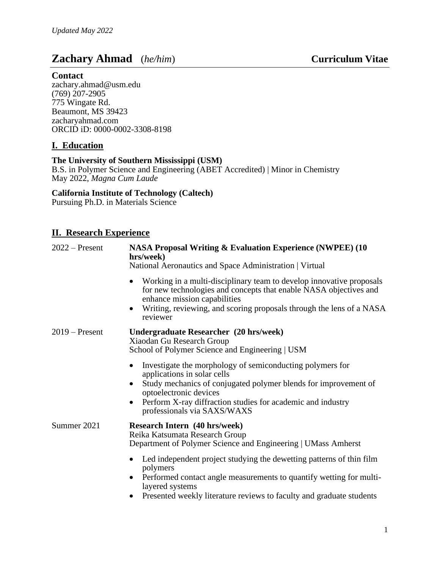# **Zachary Ahmad** (*he/him*) **Curriculum Vitae**

## **Contact**

zachary.ahmad@usm.edu (769) 207-2905 775 Wingate Rd. Beaumont, MS 39423 zacharyahmad.com ORCID iD: 0000-0002-3308-8198

## **I. Education**

### **The University of Southern Mississippi (USM)**

B.S. in Polymer Science and Engineering (ABET Accredited) | Minor in Chemistry May 2022, *Magna Cum Laude*

## **California Institute of Technology (Caltech)**

Pursuing Ph.D. in Materials Science

## **II. Research Experience**

| $2022$ – Present | <b>NASA Proposal Writing &amp; Evaluation Experience (NWPEE) (10</b><br>hrs/week)<br>National Aeronautics and Space Administration   Virtual                                                                                                                                                     |  |  |
|------------------|--------------------------------------------------------------------------------------------------------------------------------------------------------------------------------------------------------------------------------------------------------------------------------------------------|--|--|
|                  | Working in a multi-disciplinary team to develop innovative proposals<br>for new technologies and concepts that enable NASA objectives and<br>enhance mission capabilities<br>Writing, reviewing, and scoring proposals through the lens of a NASA<br>reviewer                                    |  |  |
| $2019$ – Present | Undergraduate Researcher (20 hrs/week)<br>Xiaodan Gu Research Group<br>School of Polymer Science and Engineering   USM                                                                                                                                                                           |  |  |
|                  | Investigate the morphology of semiconducting polymers for<br>$\bullet$<br>applications in solar cells<br>Study mechanics of conjugated polymer blends for improvement of<br>optoelectronic devices<br>Perform X-ray diffraction studies for academic and industry<br>professionals via SAXS/WAXS |  |  |
| Summer 2021      | <b>Research Intern (40 hrs/week)</b><br>Reika Katsumata Research Group<br>Department of Polymer Science and Engineering   UMass Amherst                                                                                                                                                          |  |  |
|                  | Led independent project studying the dewetting patterns of thin film<br>polymers<br>Performed contact angle measurements to quantify wetting for multi-<br>layered systems<br>Presented weekly literature reviews to faculty and graduate students                                               |  |  |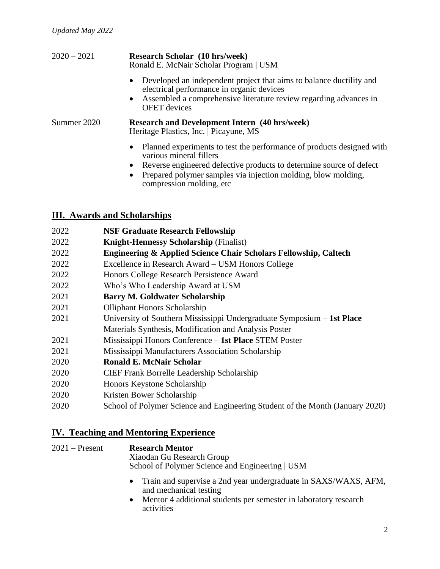| $2020 - 2021$ | <b>Research Scholar</b> (10 hrs/week)<br>Ronald E. McNair Scholar Program   USM                                                                                                                                                                                    |  |  |
|---------------|--------------------------------------------------------------------------------------------------------------------------------------------------------------------------------------------------------------------------------------------------------------------|--|--|
|               | Developed an independent project that aims to balance ductility and<br>$\bullet$<br>electrical performance in organic devices<br>• Assembled a comprehensive literature review regarding advances in<br><b>OFET</b> devices                                        |  |  |
| Summer 2020   | <b>Research and Development Intern (40 hrs/week)</b><br>Heritage Plastics, Inc.   Picayune, MS                                                                                                                                                                     |  |  |
|               | Planned experiments to test the performance of products designed with<br>$\bullet$<br>various mineral fillers<br>Reverse engineered defective products to determine source of defect<br>$\bullet$<br>Prepared polymer samples via injection molding, blow molding, |  |  |

compression molding, etc

# **III. Awards and Scholarships**

| 2022 | <b>NSF Graduate Research Fellowship</b>                                       |
|------|-------------------------------------------------------------------------------|
| 2022 | <b>Knight-Hennessy Scholarship (Finalist)</b>                                 |
| 2022 | <b>Engineering &amp; Applied Science Chair Scholars Fellowship, Caltech</b>   |
| 2022 | Excellence in Research Award – USM Honors College                             |
| 2022 | Honors College Research Persistence Award                                     |
| 2022 | Who's Who Leadership Award at USM                                             |
| 2021 | <b>Barry M. Goldwater Scholarship</b>                                         |
| 2021 | <b>Olliphant Honors Scholarship</b>                                           |
| 2021 | University of Southern Mississippi Undergraduate Symposium - 1st Place        |
|      | Materials Synthesis, Modification and Analysis Poster                         |
| 2021 | Mississippi Honors Conference – 1st Place STEM Poster                         |
| 2021 | Mississippi Manufacturers Association Scholarship                             |
| 2020 | <b>Ronald E. McNair Scholar</b>                                               |
| 2020 | <b>CIEF Frank Borrelle Leadership Scholarship</b>                             |
| 2020 | Honors Keystone Scholarship                                                   |
| 2020 | Kristen Bower Scholarship                                                     |
| 2020 | School of Polymer Science and Engineering Student of the Month (January 2020) |
|      |                                                                               |

# **IV. Teaching and Mentoring Experience**

| $2021 -$ Present | <b>Research Mentor</b><br>Xiaodan Gu Research Group<br>School of Polymer Science and Engineering   USM |  |  |
|------------------|--------------------------------------------------------------------------------------------------------|--|--|
|                  | • Train and supervise a 2nd year undergraduate in SAXS/WAXS, AFM,<br>and mechanical testing            |  |  |

• Mentor 4 additional students per semester in laboratory research activities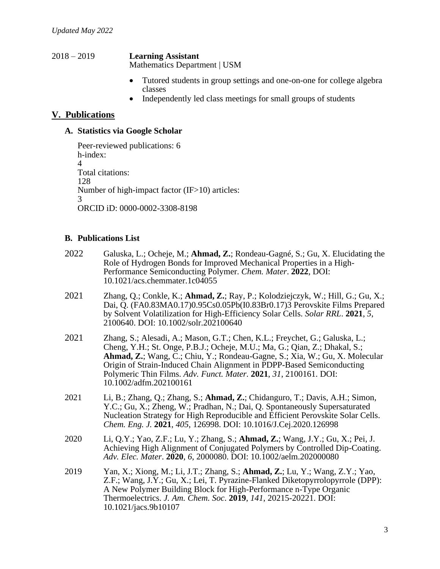#### 2018 – 2019 **Learning Assistant** Mathematics Department | USM

- Tutored students in group settings and one-on-one for college algebra classes
- Independently led class meetings for small groups of students

## **V. Publications**

### **A. Statistics via Google Scholar**

Peer-reviewed publications: 6 h-index: 4 Total citations: 128 Number of high-impact factor (IF>10) articles: 3 ORCID iD: 0000-0002-3308-8198

### **B. Publications List**

- 2022 Galuska, L.; Ocheje, M.; **Ahmad, Z.**; Rondeau-Gagné, S.; Gu, X. Elucidating the Role of Hydrogen Bonds for Improved Mechanical Properties in a High-Performance Semiconducting Polymer. *Chem. Mater*. **2022**, DOI: 10.1021/acs.chemmater.1c04055
- 2021 Zhang, Q.; Conkle, K.; **Ahmad, Z.**; Ray, P.; Kolodziejczyk, W.; Hill, G.; Gu, X.; Dai, Q. (FA0.83MA0.17)0.95Cs0.05Pb(I0.83Br0.17)3 Perovskite Films Prepared by Solvent Volatilization for High-Efficiency Solar Cells. *Solar RRL*. **2021**, *5*, 2100640. DOI: 10.1002/solr.202100640
- 2021 Zhang, S.; Alesadi, A.; Mason, G.T.; Chen, K.L.; Freychet, G.; Galuska, L.; Cheng, Y.H.; St. Onge, P.B.J.; Ocheje, M.U.; Ma, G.; Qian, Z.; Dhakal, S.; **Ahmad, Z.**; Wang, C.; Chiu, Y.; Rondeau-Gagne, S.; Xia, W.; Gu, X. Molecular Origin of Strain-Induced Chain Alignment in PDPP-Based Semiconducting Polymeric Thin Films. *Adv. Funct. Mater.* **2021**, *31*, 2100161. DOI: 10.1002/adfm.202100161
- 2021 Li, B.; Zhang, Q.; Zhang, S.; **Ahmad, Z.**; Chidanguro, T.; Davis, A.H.; Simon, Y.C.; Gu, X.; Zheng, W.; Pradhan, N.; Dai, Q. Spontaneously Supersaturated Nucleation Strategy for High Reproducible and Efficient Perovskite Solar Cells. *Chem. Eng. J.* **2021**, *405*, 126998. DOI: 10.1016/J.Cej.2020.126998
- 2020 Li, Q.Y.; Yao, Z.F.; Lu, Y.; Zhang, S.; **Ahmad, Z.**; Wang, J.Y.; Gu, X.; Pei, J. Achieving High Alignment of Conjugated Polymers by Controlled Dip-Coating. *Adv. Elec. Mater*. **2020**, *6*, 2000080. DOI: 10.1002/aelm.202000080
- 2019 Yan, X.; Xiong, M.; Li, J.T.; Zhang, S.; **Ahmad, Z.**; Lu, Y.; Wang, Z.Y.; Yao, Z.F.; Wang, J.Y.; Gu, X.; Lei, T. Pyrazine-Flanked Diketopyrrolopyrrole (DPP): A New Polymer Building Block for High-Performance n-Type Organic Thermoelectrics. *J. Am. Chem. Soc*. **2019**, *141*, 20215-20221. DOI: 10.1021/jacs.9b10107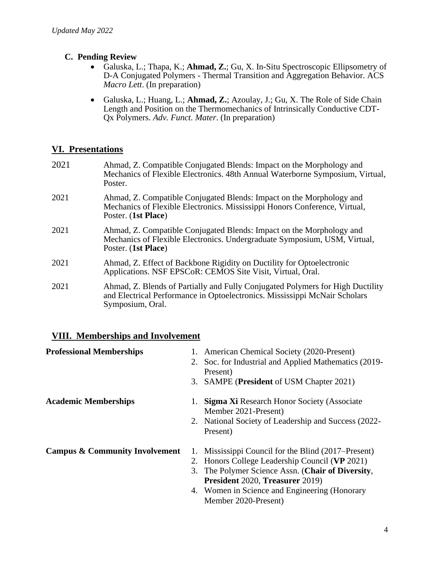## **C. Pending Review**

- Galuska, L.; Thapa, K.; **Ahmad, Z.**; Gu, X. In-Situ Spectroscopic Ellipsometry of D-A Conjugated Polymers - Thermal Transition and Aggregation Behavior. ACS *Macro Lett*. (In preparation)
- Galuska, L.; Huang, L.; **Ahmad, Z.**; Azoulay, J.; Gu, X. The Role of Side Chain Length and Position on the Thermomechanics of Intrinsically Conductive CDT-Qx Polymers. *Adv. Funct. Mater*. (In preparation)

## **VI. Presentations**

- 2021 Ahmad, Z. Compatible Conjugated Blends: Impact on the Morphology and Mechanics of Flexible Electronics. 48th Annual Waterborne Symposium, Virtual, Poster.
- 2021 Ahmad, Z. Compatible Conjugated Blends: Impact on the Morphology and Mechanics of Flexible Electronics. Mississippi Honors Conference, Virtual, Poster. (**1st Place**)
- 2021 Ahmad, Z. Compatible Conjugated Blends: Impact on the Morphology and Mechanics of Flexible Electronics. Undergraduate Symposium, USM, Virtual, Poster. (**1st Place**)
- 2021 Ahmad, Z. Effect of Backbone Rigidity on Ductility for Optoelectronic Applications. NSF EPSCoR: CEMOS Site Visit, Virtual, Oral.
- 2021 Ahmad, Z. Blends of Partially and Fully Conjugated Polymers for High Ductility and Electrical Performance in Optoelectronics. Mississippi McNair Scholars Symposium, Oral.

## **VIII. Memberships and Involvement**

| <b>Professional Memberships</b>           | 1. | American Chemical Society (2020-Present)              |
|-------------------------------------------|----|-------------------------------------------------------|
|                                           |    | 2. Soc. for Industrial and Applied Mathematics (2019- |
|                                           |    | Present)                                              |
|                                           |    | 3. SAMPE (President of USM Chapter 2021)              |
| <b>Academic Memberships</b>               |    | <b>Sigma Xi Research Honor Society (Associate</b>     |
|                                           |    | Member 2021-Present)                                  |
|                                           |    | 2. National Society of Leadership and Success (2022-  |
|                                           |    | Present)                                              |
| <b>Campus &amp; Community Involvement</b> | 1. | Mississippi Council for the Blind (2017–Present)      |
|                                           |    | 2. Honors College Leadership Council (VP 2021)        |
|                                           |    | 3. The Polymer Science Assn. (Chair of Diversity,     |
|                                           |    | <b>President 2020, Treasurer 2019)</b>                |
|                                           |    | 4. Women in Science and Engineering (Honorary         |
|                                           |    | Member 2020-Present)                                  |